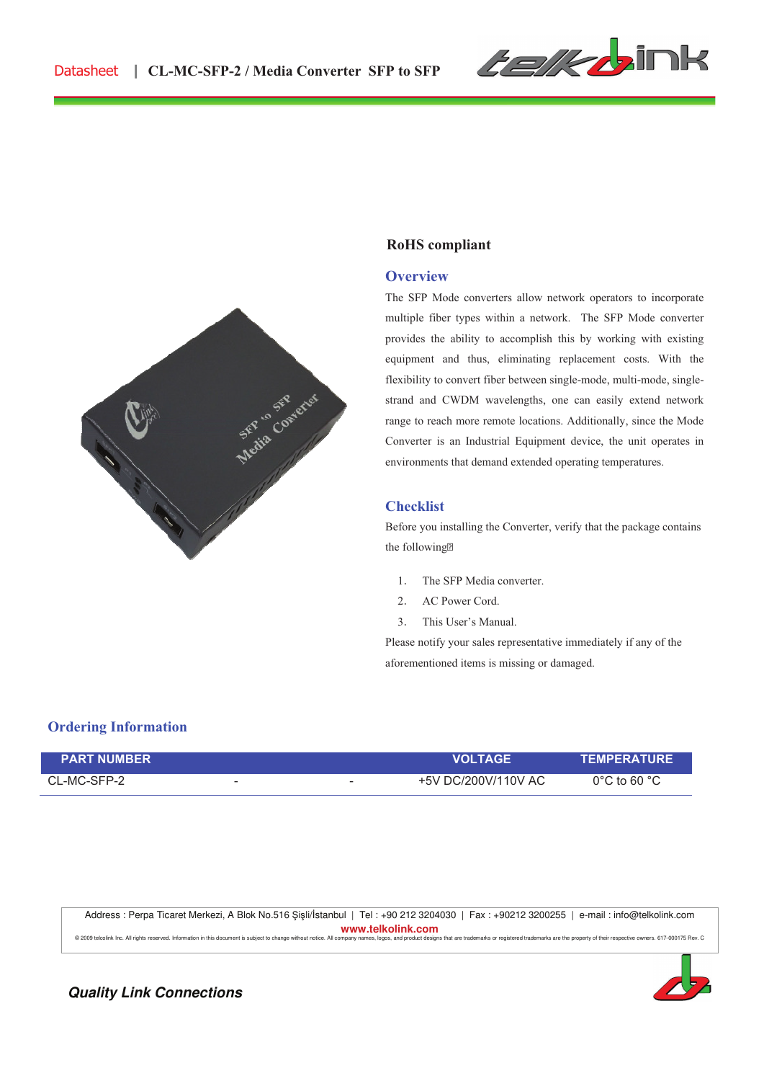



#### **RoHS compliant**

#### **Overview**

The SFP Mode converters allow network operators to incorporate multiple fiber types within a network. The SFP Mode converter provides the ability to accomplish this by working with existing equipment and thus, eliminating replacement costs. With the flexibility to convert fiber between single-mode, multi-mode, singlestrand and CWDM wavelengths, one can easily extend network range to reach more remote locations. Additionally, since the Mode Converter is an Industrial Equipment device, the unit operates in environments that demand extended operating temperatures.

#### **Checklist**

Before you installing the Converter, verify that the package contains the following

- 1. The SFP Media converter.
- 2. AC Power Cord.
- 3. This User's Manual.

Please notify your sales representative immediately if any of the aforementioned items is missing or damaged.

## **Ordering Information**

| <b>PART NUMBER</b> |                          | <b>VOLTAGE</b>                                  | <b>TEMPERATURE</b>               |
|--------------------|--------------------------|-------------------------------------------------|----------------------------------|
| CL-MC-SFP-2        | $\overline{\phantom{a}}$ | +5V DC/200V/110V AC<br>$\overline{\phantom{a}}$ | $0^{\circ}$ C to 60 $^{\circ}$ C |

Address : Perpa Ticaret Merkezi, A Blok No.516 Şişli/İstanbul | Tel : +90 212 3204030 | Fax : +90212 3200255 | e-mail : info@telkolink.com **www.telkolink.com**  © 2009 teleplink Inc. All rights reserved, Information in this document is subject to change without notice. All company pages logos, and product designs that are trademarks or registered trademarks are the property of the



**Quality Link Connections**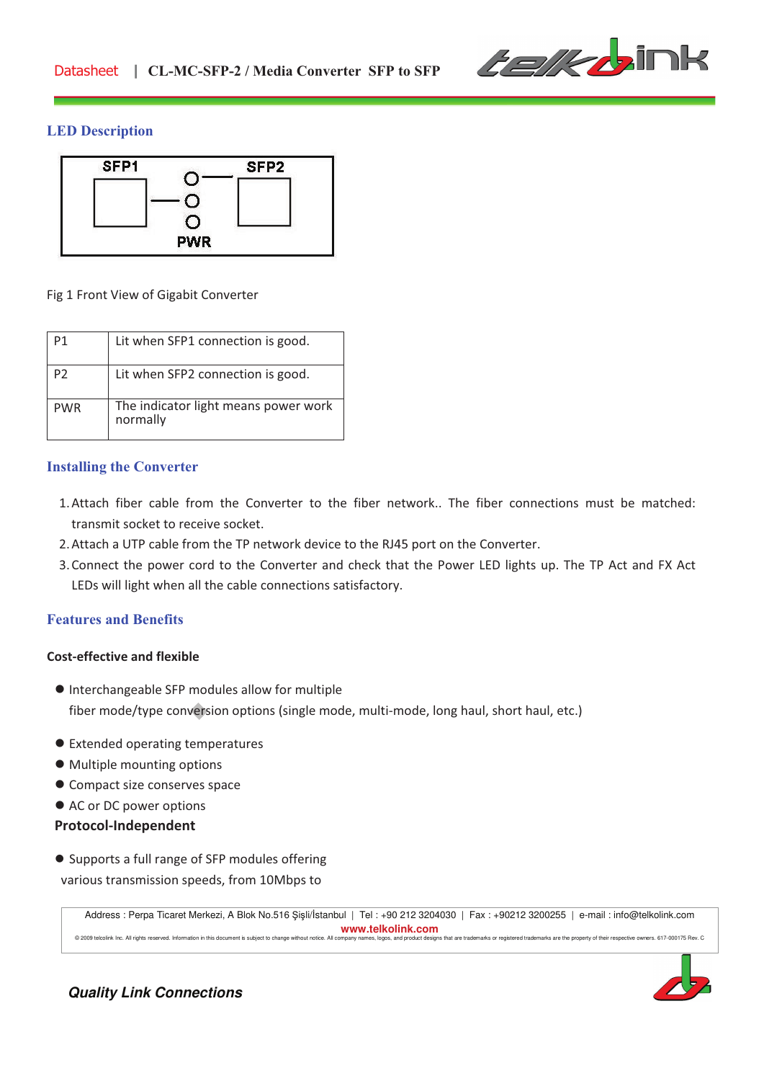

## **LED Description**



#### Fig 1 Front View of Gigabit Converter

| P1             | Lit when SFP1 connection is good.                |
|----------------|--------------------------------------------------|
| P <sub>2</sub> | Lit when SFP2 connection is good.                |
| <b>PWR</b>     | The indicator light means power work<br>normally |

### **Installing the Converter**

- 1.Attach fiber cable from the Converter to the fiber network.. The fiber connections must be matched: transmit socket to receive socket.
- 2.Attach a UTP cable from the TP network device to the RJ45 port on the Converter.
- 3.Connect the power cord to the Converter and check that the Power LED lights up. The TP Act and FX Act LEDs will light when all the cable connections satisfactory.

## **Features and Benefits**

### **Cost!effective and flexible**

- ! Interchangeable SFP modules allow for multiple fiber mode/type conversion options (single mode, multi-mode, long haul, short haul, etc.)
- $\bullet$  Extended operating temperatures
- $\bullet$  Multiple mounting options
- $\bullet$  Compact size conserves space
- AC or DC power options

### **Protocol!Independent**

! Supports a full range of SFP modules offering various transmission speeds, from 10Mbps to

Address : Perpa Ticaret Merkezi, A Blok No.516 Şişli/İstanbul | Tel : +90 212 3204030 | Fax : +90212 3200255 | e-mail : info@telkolink.com **www.telkolink.com**  © 2009 telcolink Inc. All rights reserved. Information in this document is subject to change without notice. All company names, logos, and product designs that are trademarks or registered trademarks are the property of th



**Quality Link Connections**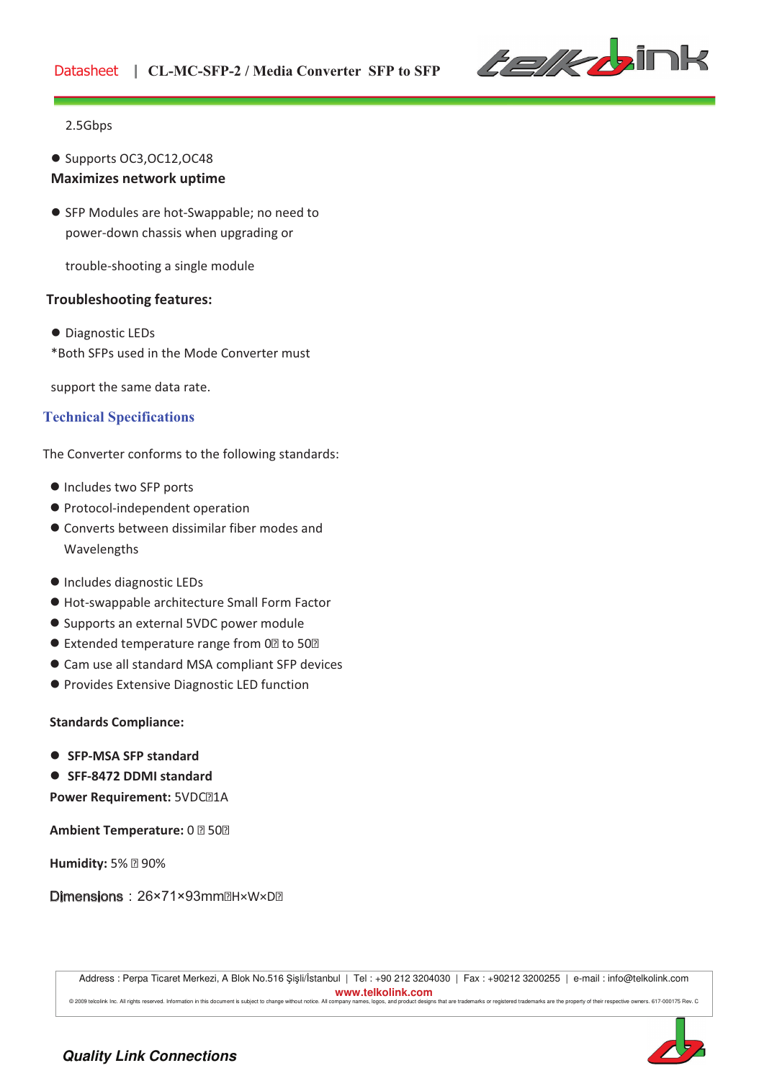

### 2.5Gbps

- ! Supports OC3,OC12,OC48 **Maximizes network uptime**
- SFP Modules are hot-Swappable; no need to power-down chassis when upgrading or

trouble-shooting a single module

## **Troubleshooting features:**

 $\bullet$  Diagnostic LEDs \*Both SFPs used in the Mode Converter must!!

support the same data rate.

# **Technical Specifications**

The Converter conforms to the following standards:

- $\bullet$  Includes two SFP ports
- $\bullet$  Protocol-independent operation
- $\bullet$  Converts between dissimilar fiber modes and Wavelengths
- $\bullet$  Includes diagnostic LEDs
- $\bullet$  Hot-swappable architecture Small Form Factor
- Supports an external 5VDC power module
- Extended temperature range from 0 to 50
- $\bullet$  Cam use all standard MSA compliant SFP devices
- **Provides Extensive Diagnostic LED function**

**Standards Compliance:**

- ! **SFP!MSA SFP standard**
- ! **SFF!8472 DDMI standard**

**Power Requirement:** 5VDC 1A

**Ambient Temperature:** 0 50

**Humidity:** 5% 90%

Dimensions: 26×71×93mm H×W×D